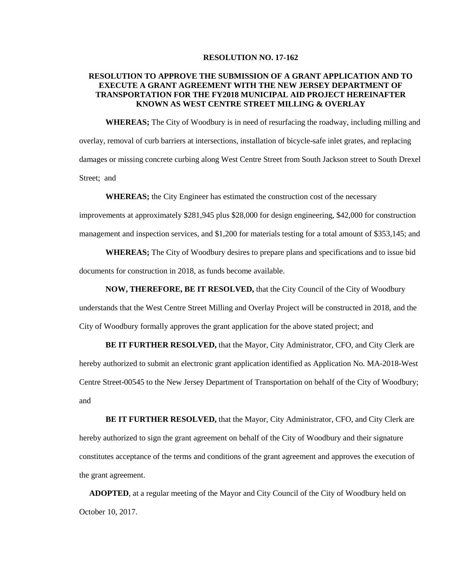## **RESOLUTION NO. 17-162**

## **RESOLUTION TO APPROVE THE SUBMISSION OF A GRANT APPLICATION AND TO EXECUTE A GRANT AGREEMENT WITH THE NEW JERSEY DEPARTMENT OF TRANSPORTATION FOR THE FY2018 MUNICIPAL AID PROJECT HEREINAFTER KNOWN AS WEST CENTRE STREET MILLING & OVERLAY**

**WHEREAS;** The City of Woodbury is in need of resurfacing the roadway, including milling and overlay, removal of curb barriers at intersections, installation of bicycle-safe inlet grates, and replacing damages or missing concrete curbing along West Centre Street from South Jackson street to South Drexel Street; and

**WHEREAS;** the City Engineer has estimated the construction cost of the necessary

improvements at approximately \$281,945 plus \$28,000 for design engineering, \$42,000 for construction management and inspection services, and \$1,200 for materials testing for a total amount of \$353,145; and

**WHEREAS;** The City of Woodbury desires to prepare plans and specifications and to issue bid documents for construction in 2018, as funds become available.

## **NOW, THEREFORE, BE IT RESOLVED,** that the City Council of the City of Woodbury

understands that the West Centre Street Milling and Overlay Project will be constructed in 2018, and the City of Woodbury formally approves the grant application for the above stated project; and

**BE IT FURTHER RESOLVED,** that the Mayor, City Administrator, CFO, and City Clerk are hereby authorized to submit an electronic grant application identified as Application No. MA-2018-West Centre Street-00545 to the New Jersey Department of Transportation on behalf of the City of Woodbury; and

**BE IT FURTHER RESOLVED,** that the Mayor, City Administrator, CFO, and City Clerk are hereby authorized to sign the grant agreement on behalf of the City of Woodbury and their signature constitutes acceptance of the terms and conditions of the grant agreement and approves the execution of the grant agreement.

 **ADOPTED**, at a regular meeting of the Mayor and City Council of the City of Woodbury held on October 10, 2017.